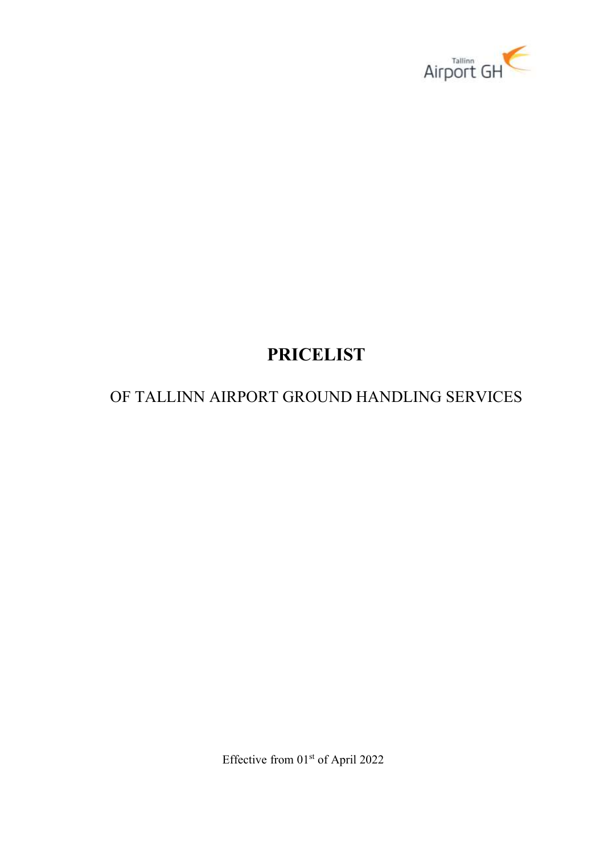

# PRICELIST

## OF TALLINN AIRPORT GROUND HANDLING SERVICES

Effective from 01<sup>st</sup> of April 2022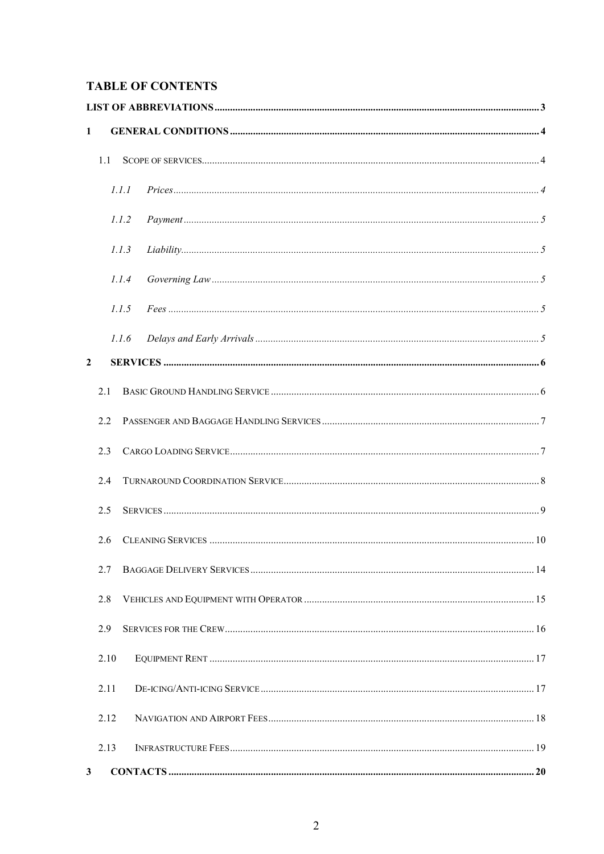## **TABLE OF CONTENTS**

| $\mathbf{1}$   |      |       |  |
|----------------|------|-------|--|
|                | 1.1  |       |  |
|                |      | 1.1.1 |  |
|                |      | 1.1.2 |  |
| 1.1.3          |      |       |  |
|                |      | 1.1.4 |  |
|                |      | 1.1.5 |  |
|                |      | 1.1.6 |  |
| $\overline{2}$ |      |       |  |
|                | 2.1  |       |  |
|                | 2.2  |       |  |
|                | 2.3  |       |  |
|                | 2.4  |       |  |
|                | 2.5  |       |  |
|                | 2.6  |       |  |
|                | 2.7  |       |  |
|                | 2.8  |       |  |
|                | 2.9  |       |  |
|                | 2.10 |       |  |
|                | 2.11 |       |  |
|                | 2.12 |       |  |
|                | 2.13 |       |  |
| $\mathbf{3}$   |      |       |  |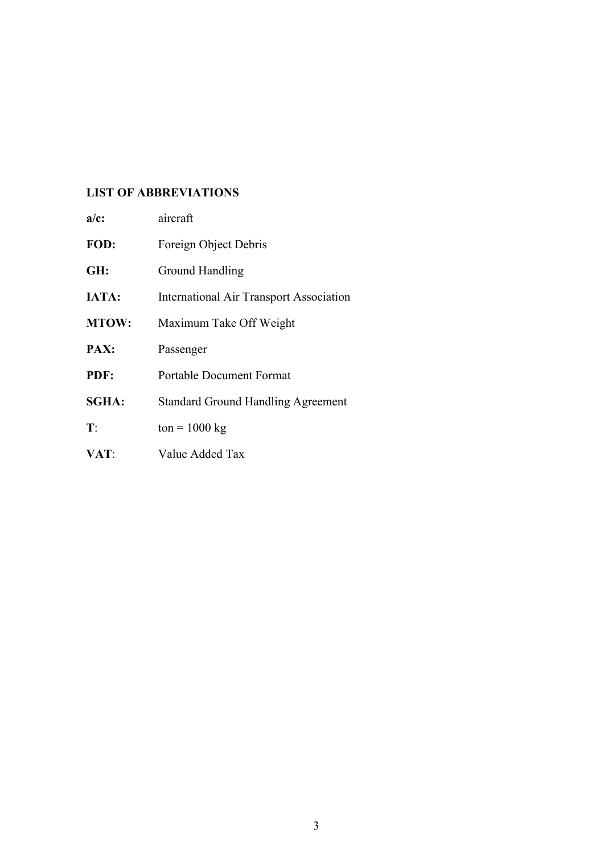### LIST OF ABBREVIATIONS

| $a/c$ :        | aircraft                                       |
|----------------|------------------------------------------------|
| FOD:           | Foreign Object Debris                          |
| GH:            | Ground Handling                                |
| <b>IATA:</b>   | <b>International Air Transport Association</b> |
| <b>MTOW:</b>   | Maximum Take Off Weight                        |
| PAX:           | Passenger                                      |
| PDF:           | <b>Portable Document Format</b>                |
| <b>SGHA:</b>   | <b>Standard Ground Handling Agreement</b>      |
| $\mathbf{T}$ : | $ton = 1000 kg$                                |
| VAT:           | Value Added Tax                                |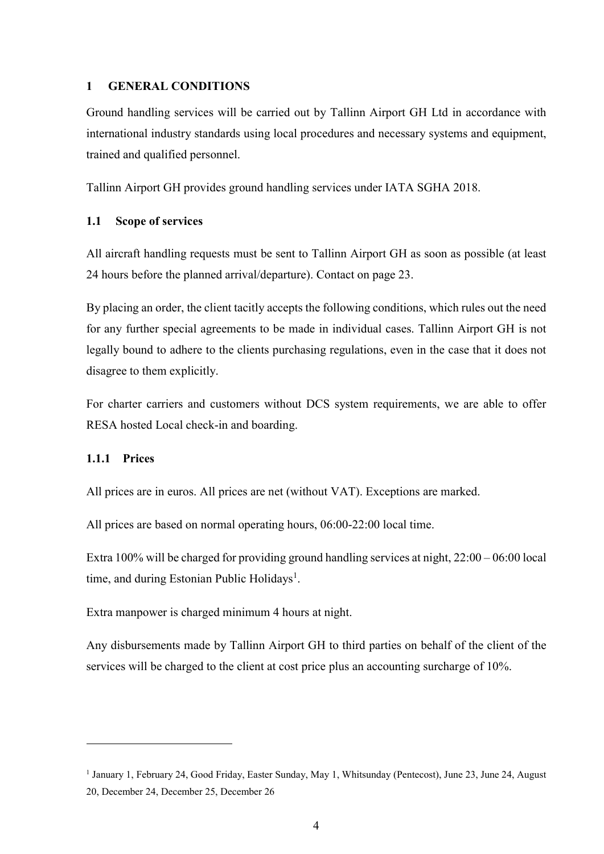### 1 GENERAL CONDITIONS

Ground handling services will be carried out by Tallinn Airport GH Ltd in accordance with international industry standards using local procedures and necessary systems and equipment, trained and qualified personnel.

Tallinn Airport GH provides ground handling services under IATA SGHA 2018.

### 1.1 Scope of services

All aircraft handling requests must be sent to Tallinn Airport GH as soon as possible (at least 24 hours before the planned arrival/departure). Contact on page 23.

By placing an order, the client tacitly accepts the following conditions, which rules out the need for any further special agreements to be made in individual cases. Tallinn Airport GH is not legally bound to adhere to the clients purchasing regulations, even in the case that it does not disagree to them explicitly.

For charter carriers and customers without DCS system requirements, we are able to offer RESA hosted Local check-in and boarding.

### 1.1.1 Prices

-

All prices are in euros. All prices are net (without VAT). Exceptions are marked.

All prices are based on normal operating hours, 06:00-22:00 local time.

Extra 100% will be charged for providing ground handling services at night, 22:00 – 06:00 local time, and during Estonian Public Holidays<sup>1</sup>.

Extra manpower is charged minimum 4 hours at night.

Any disbursements made by Tallinn Airport GH to third parties on behalf of the client of the services will be charged to the client at cost price plus an accounting surcharge of 10%.

<sup>&</sup>lt;sup>1</sup> January 1, February 24, Good Friday, Easter Sunday, May 1, Whitsunday (Pentecost), June 23, June 24, August 20, December 24, December 25, December 26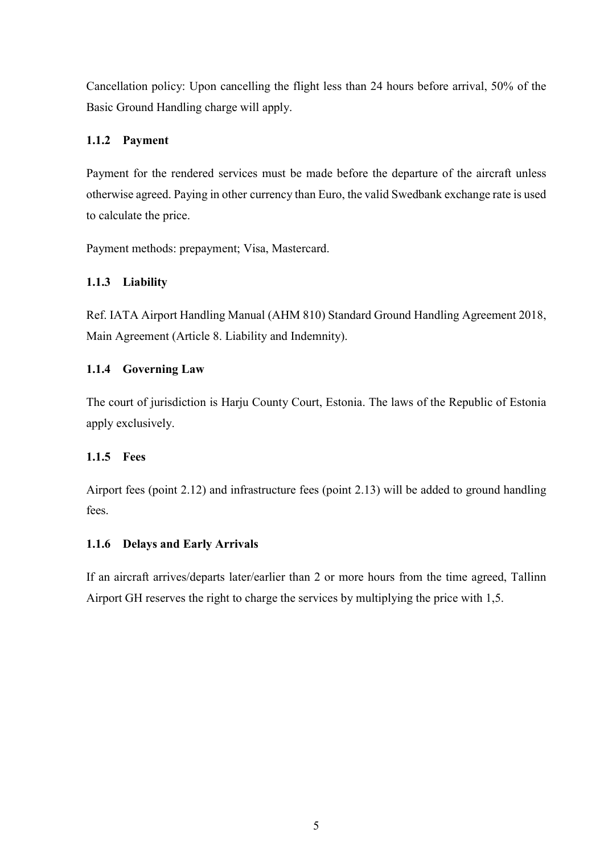Cancellation policy: Upon cancelling the flight less than 24 hours before arrival, 50% of the Basic Ground Handling charge will apply.

### 1.1.2 Payment

Payment for the rendered services must be made before the departure of the aircraft unless otherwise agreed. Paying in other currency than Euro, the valid Swedbank exchange rate is used to calculate the price.

Payment methods: prepayment; Visa, Mastercard.

### 1.1.3 Liability

Ref. IATA Airport Handling Manual (AHM 810) Standard Ground Handling Agreement 2018, Main Agreement (Article 8. Liability and Indemnity).

### 1.1.4 Governing Law

The court of jurisdiction is Harju County Court, Estonia. The laws of the Republic of Estonia apply exclusively.

### 1.1.5 Fees

Airport fees (point 2.12) and infrastructure fees (point 2.13) will be added to ground handling fees.

### 1.1.6 Delays and Early Arrivals

If an aircraft arrives/departs later/earlier than 2 or more hours from the time agreed, Tallinn Airport GH reserves the right to charge the services by multiplying the price with 1,5.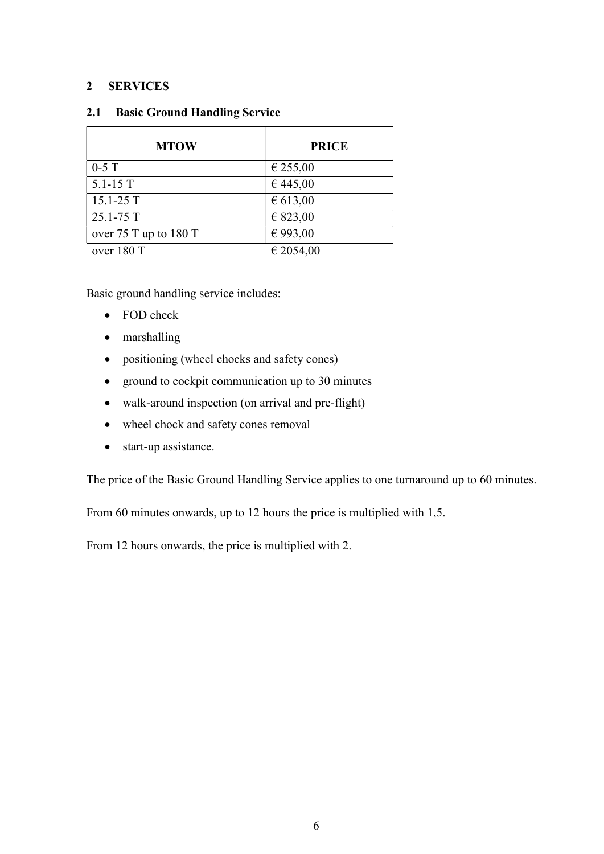### 2 SERVICES

| <b>MTOW</b>           | <b>PRICE</b> |
|-----------------------|--------------|
| $0-5$ T               | € 255,00     |
| $5.1 - 15T$           | € 445,00     |
| $15.1 - 25T$          | € 613,00     |
| 25.1-75 T             | € 823,00     |
| over 75 T up to 180 T | € 993,00     |
| over 180 T            | € 2054,00    |

### 2.1 Basic Ground Handling Service

Basic ground handling service includes:

- FOD check
- marshalling
- positioning (wheel chocks and safety cones)
- ground to cockpit communication up to 30 minutes
- walk-around inspection (on arrival and pre-flight)
- wheel chock and safety cones removal
- start-up assistance.

The price of the Basic Ground Handling Service applies to one turnaround up to 60 minutes.

From 60 minutes onwards, up to 12 hours the price is multiplied with 1,5.

From 12 hours onwards, the price is multiplied with 2.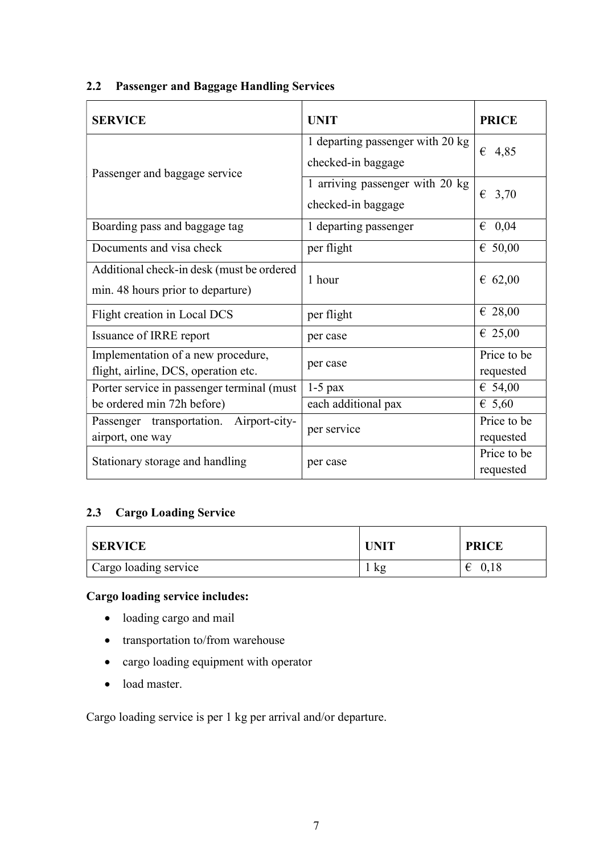| <b>SERVICE</b>                                                                 | <b>UNIT</b>                                            | <b>PRICE</b>             |
|--------------------------------------------------------------------------------|--------------------------------------------------------|--------------------------|
| Passenger and baggage service                                                  | 1 departing passenger with 20 kg<br>checked-in baggage | $\epsilon$ 4,85          |
|                                                                                | 1 arriving passenger with 20 kg<br>checked-in baggage  | $\epsilon$ 3,70          |
| Boarding pass and baggage tag                                                  | 1 departing passenger                                  | 0,04<br>€                |
| Documents and visa check                                                       | per flight                                             | € $50,00$                |
| Additional check-in desk (must be ordered<br>min. 48 hours prior to departure) | 1 hour                                                 | € 62,00                  |
| Flight creation in Local DCS                                                   | per flight                                             | € 28,00                  |
| Issuance of IRRE report                                                        | per case                                               | $\epsilon$ 25,00         |
| Implementation of a new procedure,<br>flight, airline, DCS, operation etc.     | per case                                               | Price to be<br>requested |
| Porter service in passenger terminal (must                                     | $1-5$ pax                                              | € 54,00                  |
| be ordered min 72h before)                                                     | each additional pax                                    | $\epsilon$ 5,60          |
| Passenger transportation. Airport-city-<br>airport, one way                    | per service                                            | Price to be<br>requested |
| Stationary storage and handling                                                | per case                                               | Price to be<br>requested |

## 2.2 Passenger and Baggage Handling Services

### 2.3 Cargo Loading Service

| <b>SERVICE</b>        | <b>UNIT</b> | <b>PRICE</b> |
|-----------------------|-------------|--------------|
| Cargo loading service | kg          | 0,18<br>€    |

## Cargo loading service includes:

- loading cargo and mail
- transportation to/from warehouse
- cargo loading equipment with operator
- load master.

Cargo loading service is per 1 kg per arrival and/or departure.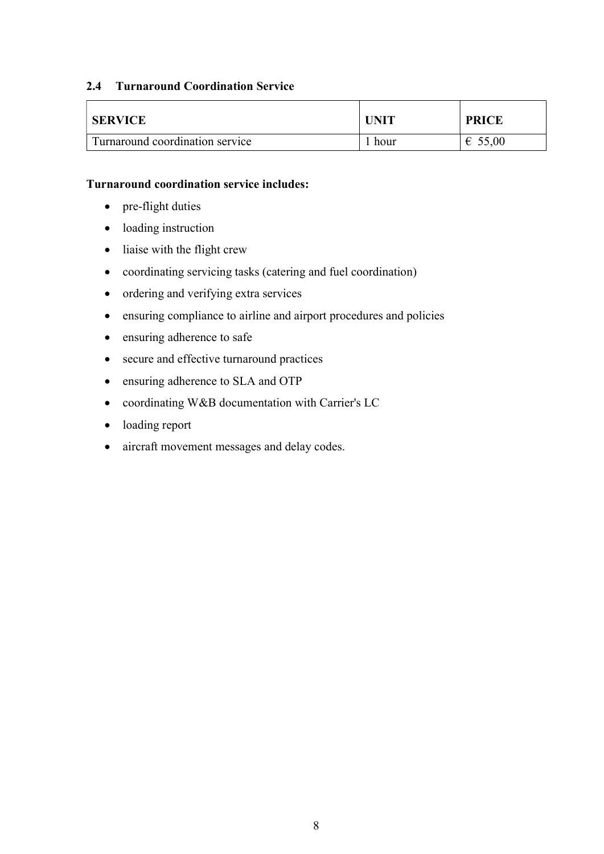### 2.4 Turnaround Coordination Service

| <b>SERVICE</b>                  | <b>UNIT</b> | <b>PRICE</b> |
|---------------------------------|-------------|--------------|
| Turnaround coordination service | hour        | €<br>55,00   |

### Turnaround coordination service includes:

- pre-flight duties
- loading instruction
- liaise with the flight crew
- coordinating servicing tasks (catering and fuel coordination)
- ordering and verifying extra services
- ensuring compliance to airline and airport procedures and policies
- ensuring adherence to safe
- secure and effective turnaround practices
- ensuring adherence to SLA and OTP
- coordinating W&B documentation with Carrier's LC
- loading report
- aircraft movement messages and delay codes.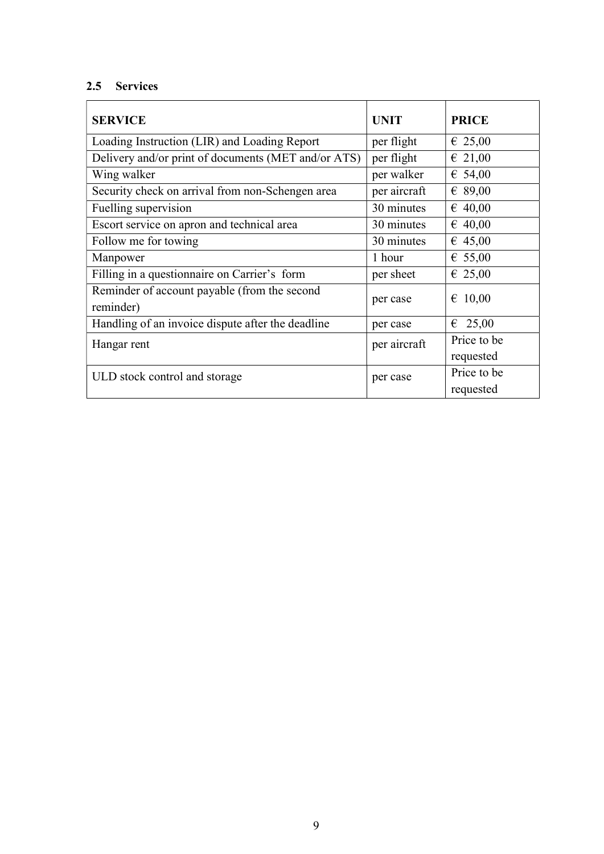## 2.5 Services

| <b>SERVICE</b>                                            | <b>UNIT</b>  | <b>PRICE</b>     |
|-----------------------------------------------------------|--------------|------------------|
| Loading Instruction (LIR) and Loading Report              | per flight   | $\epsilon$ 25,00 |
| Delivery and/or print of documents (MET and/or ATS)       | per flight   | $\epsilon$ 21,00 |
| Wing walker                                               | per walker   | € 54,00          |
| Security check on arrival from non-Schengen area          | per aircraft | € 89,00          |
| Fuelling supervision                                      | 30 minutes   | $\epsilon$ 40,00 |
| Escort service on apron and technical area                | 30 minutes   | € 40,00          |
| Follow me for towing                                      | 30 minutes   | € 45,00          |
| Manpower                                                  | 1 hour       | € 55,00          |
| Filling in a questionnaire on Carrier's form              | per sheet    | $\epsilon$ 25,00 |
| Reminder of account payable (from the second<br>reminder) | per case     | $\epsilon$ 10,00 |
| Handling of an invoice dispute after the deadline         | per case     | 25,00<br>€       |
| Hangar rent                                               | per aircraft | Price to be      |
|                                                           |              | requested        |
| ULD stock control and storage                             | per case     | Price to be      |
|                                                           |              | requested        |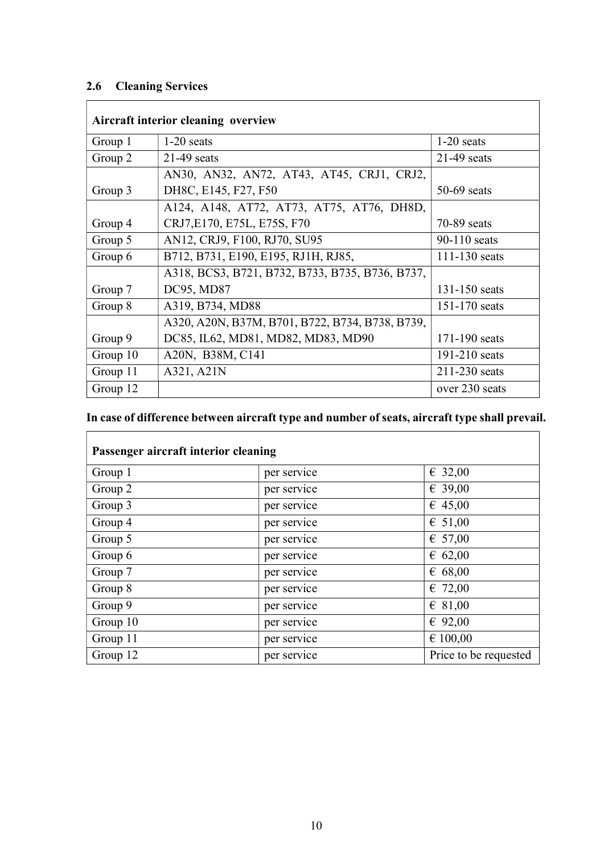## 2.6 Cleaning Services

| Aircraft interior cleaning overview |                                                 |                   |  |  |
|-------------------------------------|-------------------------------------------------|-------------------|--|--|
| Group 1                             | $1-20$ seats                                    | $1-20$ seats      |  |  |
| Group 2                             | $21-49$ seats                                   | $21-49$ seats     |  |  |
|                                     | AN30, AN32, AN72, AT43, AT45, CRJ1, CRJ2,       |                   |  |  |
| Group 3                             | DH8C, E145, F27, F50                            | $50-69$ seats     |  |  |
|                                     | A124, A148, AT72, AT73, AT75, AT76, DH8D,       |                   |  |  |
| Group 4                             | CRJ7, E170, E75L, E75S, F70                     | $70-89$ seats     |  |  |
| Group 5                             | AN12, CRJ9, F100, RJ70, SU95                    | $90-110$ seats    |  |  |
| Group 6                             | B712, B731, E190, E195, RJ1H, RJ85,             | $111 - 130$ seats |  |  |
|                                     | A318, BCS3, B721, B732, B733, B735, B736, B737, |                   |  |  |
| Group 7                             | DC95, MD87                                      | 131-150 seats     |  |  |
| Group 8                             | A319, B734, MD88                                | 151-170 seats     |  |  |
|                                     | A320, A20N, B37M, B701, B722, B734, B738, B739, |                   |  |  |
| Group 9                             | DC85, IL62, MD81, MD82, MD83, MD90              | 171-190 seats     |  |  |
| Group 10                            | A20N, B38M, C141                                | $191-210$ seats   |  |  |
| Group 11                            | A321, A21N                                      | 211-230 seats     |  |  |
| Group 12                            |                                                 | over 230 seats    |  |  |

## In case of difference between aircraft type and number of seats, aircraft type shall prevail.

| Passenger aircraft interior cleaning |             |                       |  |  |
|--------------------------------------|-------------|-----------------------|--|--|
| Group 1                              | per service | € 32,00               |  |  |
| Group 2                              | per service | € 39,00               |  |  |
| Group 3                              | per service | $\epsilon$ 45,00      |  |  |
| Group 4                              | per service | $\epsilon$ 51,00      |  |  |
| Group 5                              | per service | € 57,00               |  |  |
| Group 6                              | per service | 6,62,00               |  |  |
| Group 7                              | per service | 6.68,00               |  |  |
| Group 8                              | per service | $\epsilon$ 72,00      |  |  |
| Group 9                              | per service | $\epsilon$ 81,00      |  |  |
| Group 10                             | per service | € 92,00               |  |  |
| Group 11                             | per service | € 100,00              |  |  |
| Group 12                             | per service | Price to be requested |  |  |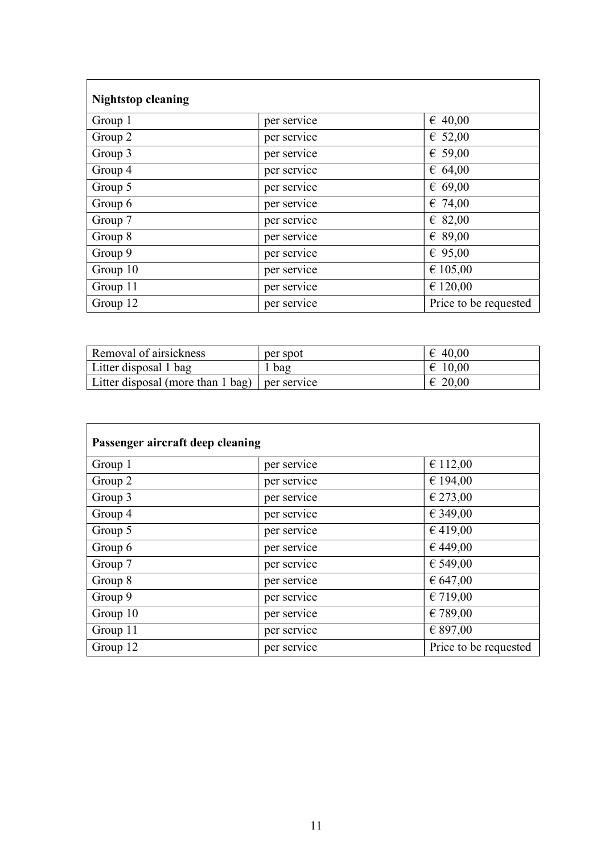| <b>Nightstop cleaning</b> |             |                       |  |  |
|---------------------------|-------------|-----------------------|--|--|
| Group 1                   | per service | $\epsilon$ 40,00      |  |  |
| Group 2                   | per service | € 52,00               |  |  |
| Group 3                   | per service | € 59,00               |  |  |
| Group 4                   | per service | 64,00                 |  |  |
| Group 5                   | per service | € 69,00               |  |  |
| Group 6                   | per service | $\epsilon$ 74,00      |  |  |
| Group 7                   | per service | $\epsilon$ 82,00      |  |  |
| Group 8                   | per service | € 89,00               |  |  |
| Group 9                   | per service | € 95,00               |  |  |
| Group 10                  | per service | € 105,00              |  |  |
| Group 11                  | per service | € 120,00              |  |  |
| Group 12                  | per service | Price to be requested |  |  |

| Removal of airsickness                            | per spot | $\epsilon$ 40,00 |
|---------------------------------------------------|----------|------------------|
| Litter disposal 1 bag                             | r bag    | $\epsilon$ 10.00 |
| Litter disposal (more than $1$ bag)   per service |          | $\epsilon$ 20,00 |

| Passenger aircraft deep cleaning |             |                       |  |  |
|----------------------------------|-------------|-----------------------|--|--|
| Group 1                          | per service | € 112,00              |  |  |
| Group 2                          | per service | € 194,00              |  |  |
| Group 3                          | per service | € 273,00              |  |  |
| Group 4                          | per service | € 349,00              |  |  |
| Group 5                          | per service | €419,00               |  |  |
| Group 6                          | per service | €449,00               |  |  |
| Group 7                          | per service | € 549,00              |  |  |
| Group 8                          | per service | € 647,00              |  |  |
| Group 9                          | per service | € 719,00              |  |  |
| Group 10                         | per service | € 789,00              |  |  |
| Group 11                         | per service | € 897,00              |  |  |
| Group 12                         | per service | Price to be requested |  |  |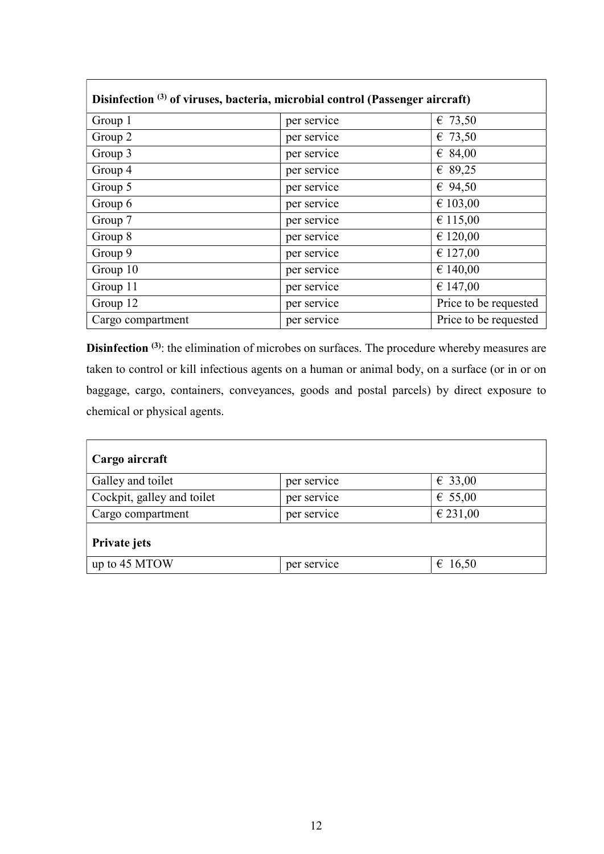|                   | Disinfection <sup>(3)</sup> of viruses, bacteria, microbial control (Passenger aircraft) |                       |
|-------------------|------------------------------------------------------------------------------------------|-----------------------|
| Group 1           | per service                                                                              | € 73,50               |
| Group 2           | per service                                                                              | € 73,50               |
| Group 3           | per service                                                                              | € 84,00               |
| Group 4           | per service                                                                              | € 89,25               |
| Group 5           | per service                                                                              | € 94,50               |
| Group 6           | per service                                                                              | € 103,00              |
| Group 7           | per service                                                                              | € 115,00              |
| Group 8           | per service                                                                              | € 120,00              |
| Group 9           | per service                                                                              | € 127,00              |
| Group 10          | per service                                                                              | € 140,00              |
| Group 11          | per service                                                                              | € 147,00              |
| Group 12          | per service                                                                              | Price to be requested |
| Cargo compartment | per service                                                                              | Price to be requested |

Disinfection <sup>(3)</sup>: the elimination of microbes on surfaces. The procedure whereby measures are taken to control or kill infectious agents on a human or animal body, on a surface (or in or on baggage, cargo, containers, conveyances, goods and postal parcels) by direct exposure to chemical or physical agents.

| Cargo aircraft             |             |                  |
|----------------------------|-------------|------------------|
| Galley and toilet          | per service | € 33,00          |
| Cockpit, galley and toilet | per service | € 55,00          |
| Cargo compartment          | per service | € 231,00         |
| Private jets               |             |                  |
| up to 45 MTOW              | per service | $\epsilon$ 16,50 |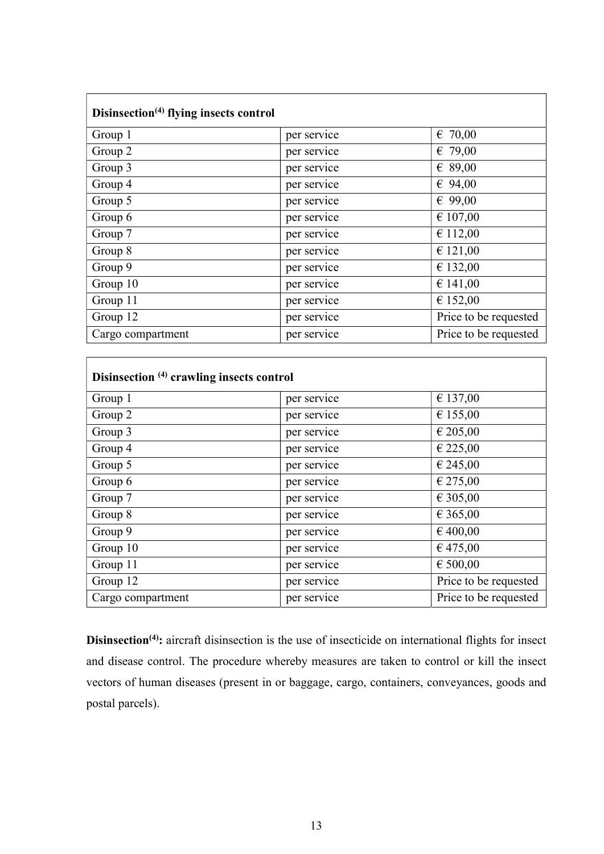| Disinsection <sup>(4)</sup> flying insects control |             |                       |
|----------------------------------------------------|-------------|-----------------------|
| Group 1                                            | per service | $\epsilon$ 70,00      |
| Group 2                                            | per service | € 79,00               |
| Group 3                                            | per service | € 89,00               |
| Group 4                                            | per service | € 94,00               |
| Group 5                                            | per service | € 99,00               |
| Group 6                                            | per service | € 107,00              |
| Group 7                                            | per service | € 112,00              |
| Group 8                                            | per service | € 121,00              |
| Group 9                                            | per service | € 132,00              |
| Group 10                                           | per service | € 141,00              |
| Group 11                                           | per service | € 152,00              |
| Group 12                                           | per service | Price to be requested |
| Cargo compartment                                  | per service | Price to be requested |

| Disinsection (4) crawling insects control |             |                       |
|-------------------------------------------|-------------|-----------------------|
| Group 1                                   | per service | € 137,00              |
| Group 2                                   | per service | € 155,00              |
| Group 3                                   | per service | € 205,00              |
| Group 4                                   | per service | € 225,00              |
| Group 5                                   | per service | € 245,00              |
| Group 6                                   | per service | € 275,00              |
| Group 7                                   | per service | € 305,00              |
| Group 8                                   | per service | € 365,00              |
| Group 9                                   | per service | € 400,00              |
| Group 10                                  | per service | € 475,00              |
| Group 11                                  | per service | € 500,00              |
| Group 12                                  | per service | Price to be requested |
| Cargo compartment                         | per service | Price to be requested |

Disinsection<sup>(4)</sup>: aircraft disinsection is the use of insecticide on international flights for insect and disease control. The procedure whereby measures are taken to control or kill the insect vectors of human diseases (present in or baggage, cargo, containers, conveyances, goods and postal parcels).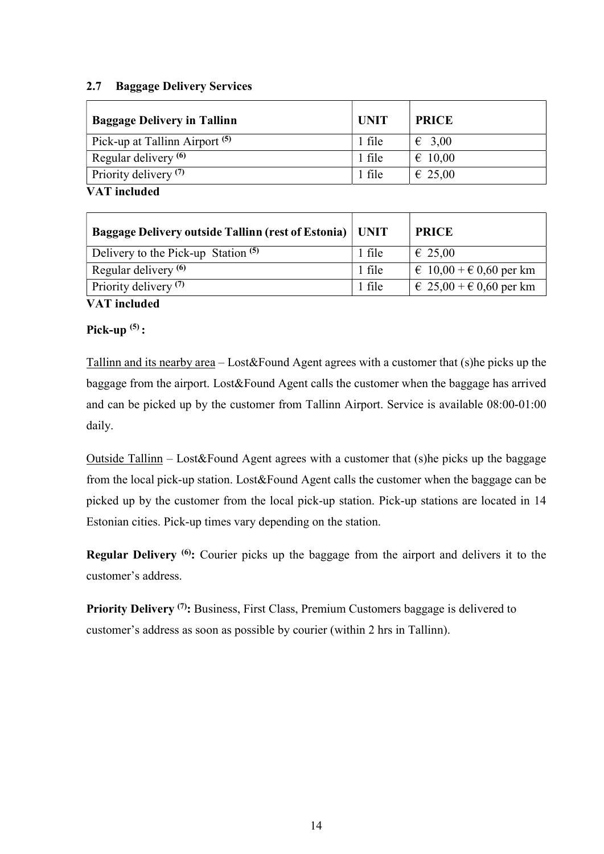### 2.7 Baggage Delivery Services

| <b>Baggage Delivery in Tallinn</b>        | <b>UNIT</b> | <b>PRICE</b>     |
|-------------------------------------------|-------------|------------------|
| Pick-up at Tallinn Airport <sup>(5)</sup> | 1 file      | $\epsilon$ 3,00  |
| Regular delivery <sup>(6)</sup>           | 1 file      | $\epsilon$ 10,00 |
| Priority delivery <sup>(7)</sup>          | 1 file      | $\epsilon$ 25,00 |
| <b>VAT</b> included                       |             |                  |

| <b>Baggage Delivery outside Tallinn (rest of Estonia)   UNIT</b> |        | <b>PRICE</b>                       |
|------------------------------------------------------------------|--------|------------------------------------|
| Delivery to the Pick-up Station <sup>(5)</sup>                   | 1 file | $\epsilon$ 25,00                   |
| Regular delivery <sup>(6)</sup>                                  | 1 file | $\in$ 10,00 + $\in$ 0,60 per km    |
| Priority delivery <sup>(7)</sup>                                 | 1 file | $\in 25,00 + \epsilon 0,60$ per km |

VAT included

### Pick-up $(5)$ :

Tallinn and its nearby area – Lost&Found Agent agrees with a customer that (s)he picks up the baggage from the airport. Lost&Found Agent calls the customer when the baggage has arrived and can be picked up by the customer from Tallinn Airport. Service is available 08:00-01:00 daily.

Outside Tallinn – Lost&Found Agent agrees with a customer that (s)he picks up the baggage from the local pick-up station. Lost&Found Agent calls the customer when the baggage can be picked up by the customer from the local pick-up station. Pick-up stations are located in 14 Estonian cities. Pick-up times vary depending on the station.

**Regular Delivery** <sup>(6)</sup>: Courier picks up the baggage from the airport and delivers it to the customer's address.

Priority Delivery <sup>(7)</sup>: Business, First Class, Premium Customers baggage is delivered to customer's address as soon as possible by courier (within 2 hrs in Tallinn).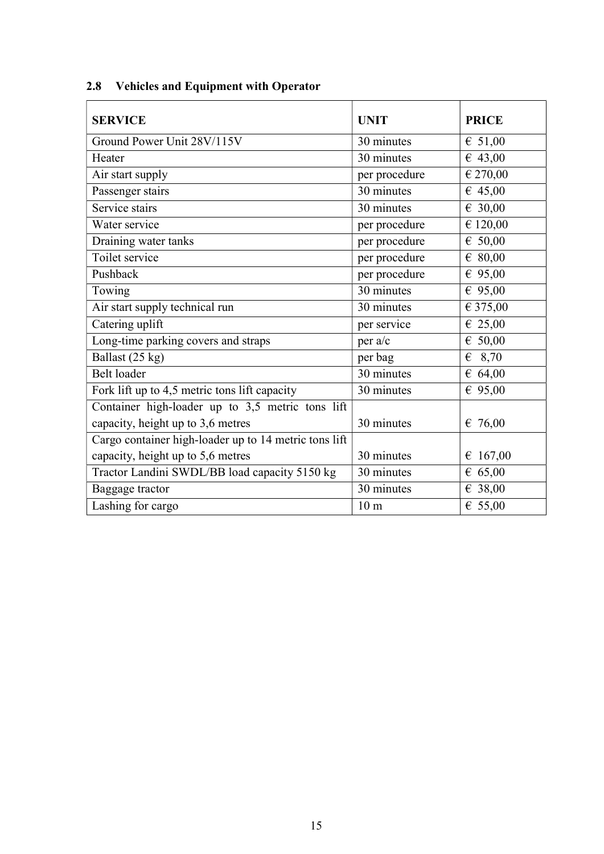| <b>SERVICE</b>                                        | <b>UNIT</b>     | <b>PRICE</b>      |
|-------------------------------------------------------|-----------------|-------------------|
| Ground Power Unit 28V/115V                            | 30 minutes      | € 51,00           |
| Heater                                                | 30 minutes      | 643,00            |
| Air start supply                                      | per procedure   | € 270,00          |
| Passenger stairs                                      | 30 minutes      | 645,00            |
| Service stairs                                        | 30 minutes      | € 30,00           |
| Water service                                         | per procedure   | € 120,00          |
| Draining water tanks                                  | per procedure   | 650,00            |
| Toilet service                                        | per procedure   | $\epsilon$ 80,00  |
| Pushback                                              | per procedure   | € 95,00           |
| Towing                                                | 30 minutes      | € 95,00           |
| Air start supply technical run                        | 30 minutes      | € 375,00          |
| Catering uplift                                       | per service     | $\epsilon$ 25,00  |
| Long-time parking covers and straps                   | per a/c         | 650,00            |
| Ballast (25 kg)                                       | per bag         | $\epsilon$ 8,70   |
| Belt loader                                           | 30 minutes      | € 64,00           |
| Fork lift up to 4,5 metric tons lift capacity         | 30 minutes      | € 95,00           |
| Container high-loader up to 3,5 metric tons lift      |                 |                   |
| capacity, height up to 3,6 metres                     | 30 minutes      | $\epsilon$ 76,00  |
| Cargo container high-loader up to 14 metric tons lift |                 |                   |
| capacity, height up to 5,6 metres                     | 30 minutes      | $\epsilon$ 167,00 |
| Tractor Landini SWDL/BB load capacity 5150 kg         | 30 minutes      | 65,00             |
| Baggage tractor                                       | 30 minutes      | € 38,00           |
| Lashing for cargo                                     | 10 <sub>m</sub> | € 55,00           |

## 2.8 Vehicles and Equipment with Operator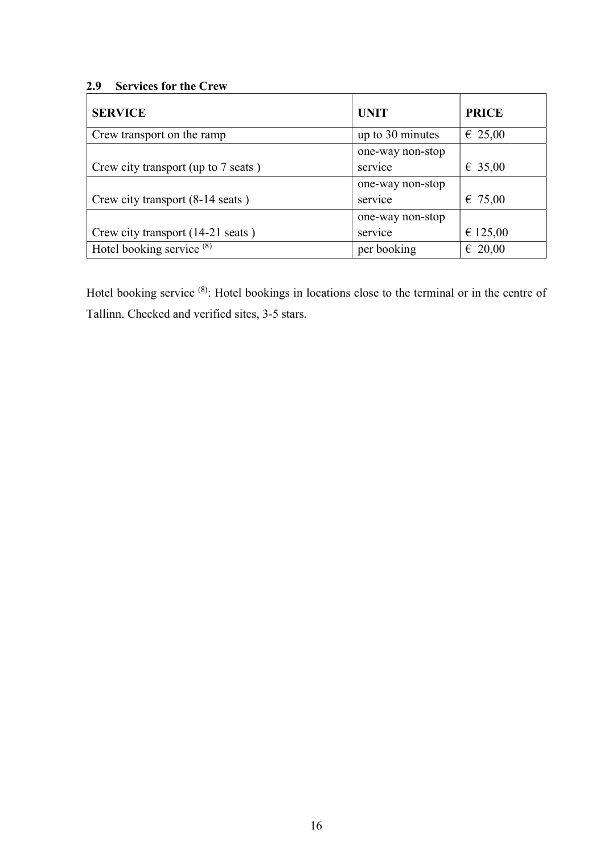## 2.9 Services for the Crew

| <b>SERVICE</b>                      | <b>UNIT</b>      | <b>PRICE</b>     |
|-------------------------------------|------------------|------------------|
| Crew transport on the ramp          | up to 30 minutes | € 25,00          |
|                                     | one-way non-stop |                  |
| Crew city transport (up to 7 seats) | service          | € 35,00          |
|                                     | one-way non-stop |                  |
| Crew city transport (8-14 seats)    | service          | € 75,00          |
|                                     | one-way non-stop |                  |
| Crew city transport (14-21 seats)   | service          | € 125,00         |
| Hotel booking service $(8)$         | per booking      | $\epsilon$ 20,00 |

Hotel booking service (8): Hotel bookings in locations close to the terminal or in the centre of Tallinn. Checked and verified sites, 3-5 stars.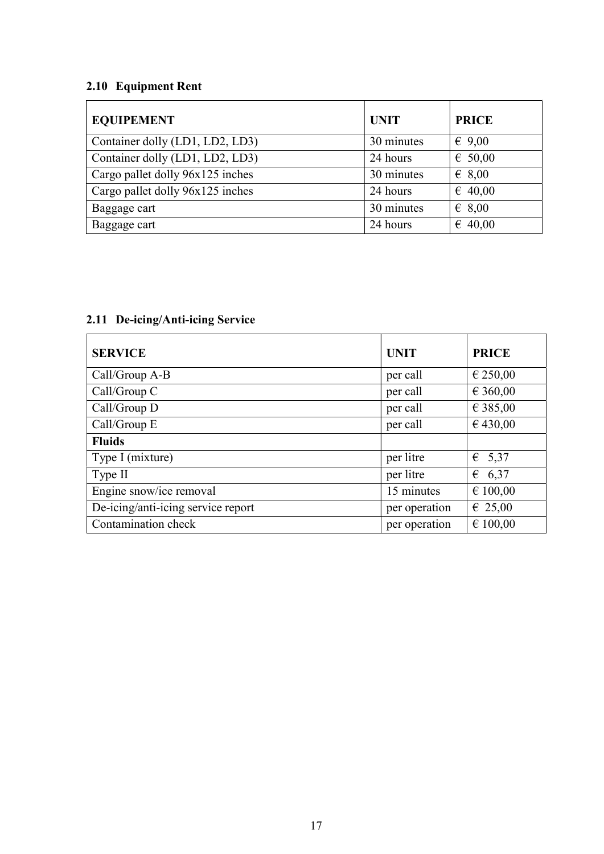## 2.10 Equipment Rent

| <b>EQUIPEMENT</b>                | <b>UNIT</b> | <b>PRICE</b>     |
|----------------------------------|-------------|------------------|
| Container dolly (LD1, LD2, LD3)  | 30 minutes  | $\epsilon$ 9,00  |
| Container dolly (LD1, LD2, LD3)  | 24 hours    | $\epsilon$ 50,00 |
| Cargo pallet dolly 96x125 inches | 30 minutes  | $\epsilon$ 8,00  |
| Cargo pallet dolly 96x125 inches | 24 hours    | $\epsilon$ 40,00 |
| Baggage cart                     | 30 minutes  | $\epsilon$ 8,00  |
| Baggage cart                     | 24 hours    | $\epsilon$ 40,00 |

## 2.11 De-icing/Anti-icing Service

| <b>SERVICE</b>                     | <b>UNIT</b>   | <b>PRICE</b> |
|------------------------------------|---------------|--------------|
| Call/Group A-B                     | per call      | € 250,00     |
| Call/Group C                       | per call      | € 360,00     |
| Call/Group D                       | per call      | € 385,00     |
| Call/Group E                       | per call      | € 430,00     |
| <b>Fluids</b>                      |               |              |
| Type I (mixture)                   | per litre     | € 5,37       |
| Type II                            | per litre     | 6,37<br>€    |
| Engine snow/ice removal            | 15 minutes    | € 100,00     |
| De-icing/anti-icing service report | per operation | € 25,00      |
| Contamination check                | per operation | € 100,00     |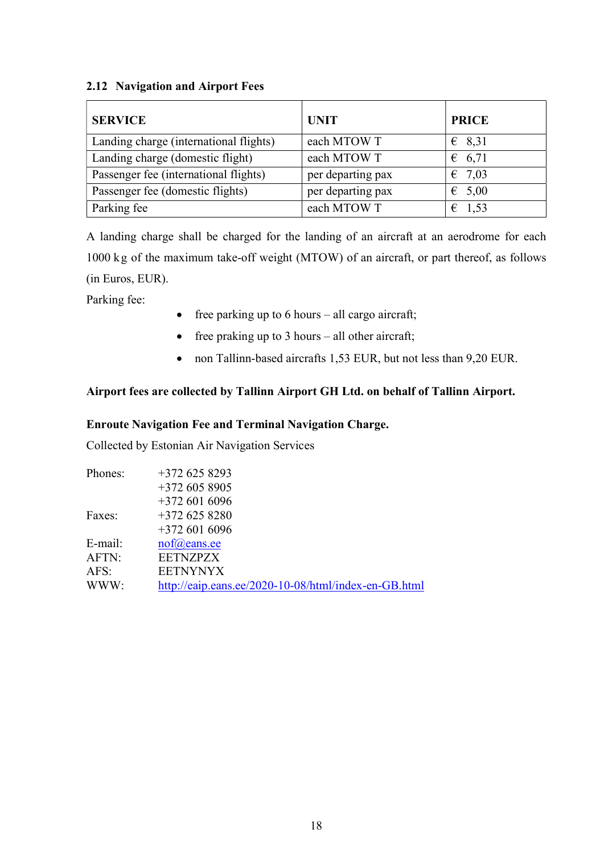### 2.12 Navigation and Airport Fees

| <b>SERVICE</b>                         | <b>UNIT</b>       | <b>PRICE</b>    |
|----------------------------------------|-------------------|-----------------|
| Landing charge (international flights) | each MTOW T       | $\epsilon$ 8,31 |
| Landing charge (domestic flight)       | each MTOW T       | 6, 71           |
| Passenger fee (international flights)  | per departing pax | $\epsilon$ 7,03 |
| Passenger fee (domestic flights)       | per departing pax | $\epsilon$ 5,00 |
| Parking fee                            | each MTOW T       | $\epsilon$ 1,53 |

A landing charge shall be charged for the landing of an aircraft at an aerodrome for each 1000 kg of the maximum take-off weight (MTOW) of an aircraft, or part thereof, as follows (in Euros, EUR).

Parking fee:

- $\bullet$  free parking up to 6 hours all cargo aircraft;
- free praking up to  $3$  hours all other aircraft;
- non Tallinn-based aircrafts 1,53 EUR, but not less than 9,20 EUR.

### Airport fees are collected by Tallinn Airport GH Ltd. on behalf of Tallinn Airport.

### Enroute Navigation Fee and Terminal Navigation Charge.

Collected by Estonian Air Navigation Services

| Phones: | $+3726258293$                                        |
|---------|------------------------------------------------------|
|         | $+3726058905$                                        |
|         | $+3726016096$                                        |
| Faxes:  | $+3726258280$                                        |
|         | $+3726016096$                                        |
| E-mail: | $\text{nof}(\widehat{a})$ eans.ee                    |
| AFTN:   | <b>EETNZPZX</b>                                      |
| AFS:    | <b>EETNYNYX</b>                                      |
| WWW:    | http://eaip.eans.ee/2020-10-08/html/index-en-GB.html |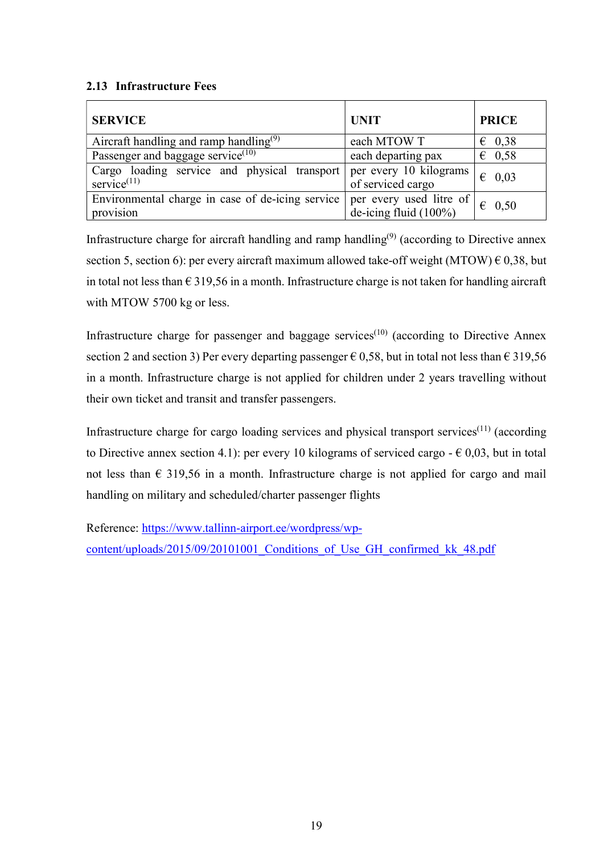### 2.13 Infrastructure Fees

| <b>SERVICE</b>                                                 | <b>UNIT</b>                                         | <b>PRICE</b>    |
|----------------------------------------------------------------|-----------------------------------------------------|-----------------|
| Aircraft handling and ramp handling <sup>(9)</sup>             | each MTOW T                                         | $\epsilon$ 0.38 |
| Passenger and baggage service $(10)$                           | each departing pax                                  | $\epsilon$ 0.58 |
| Cargo loading service and physical transport<br>service $(11)$ | per every 10 kilograms<br>of serviced cargo         | 0,03<br>€       |
| Environmental charge in case of de-icing service<br>provision  | per every used litre of<br>de-icing fluid $(100\%)$ | $\epsilon$ 0.50 |

Infrastructure charge for aircraft handling and ramp handling<sup> $(9)$ </sup> (according to Directive annex section 5, section 6): per every aircraft maximum allowed take-off weight (MTOW)  $\epsilon$  0,38, but in total not less than  $\epsilon$  319,56 in a month. Infrastructure charge is not taken for handling aircraft with MTOW 5700 kg or less.

Infrastructure charge for passenger and baggage services<sup> $(10)$ </sup> (according to Directive Annex section 2 and section 3) Per every departing passenger  $\epsilon$  0,58, but in total not less than  $\epsilon$  319,56 in a month. Infrastructure charge is not applied for children under 2 years travelling without their own ticket and transit and transfer passengers.

Infrastructure charge for cargo loading services and physical transport services(11) (according to Directive annex section 4.1): per every 10 kilograms of serviced cargo  $- \epsilon$  0,03, but in total not less than  $\epsilon$  319,56 in a month. Infrastructure charge is not applied for cargo and mail handling on military and scheduled/charter passenger flights

Reference: https://www.tallinn-airport.ee/wordpress/wpcontent/uploads/2015/09/20101001 Conditions of Use GH confirmed kk 48.pdf